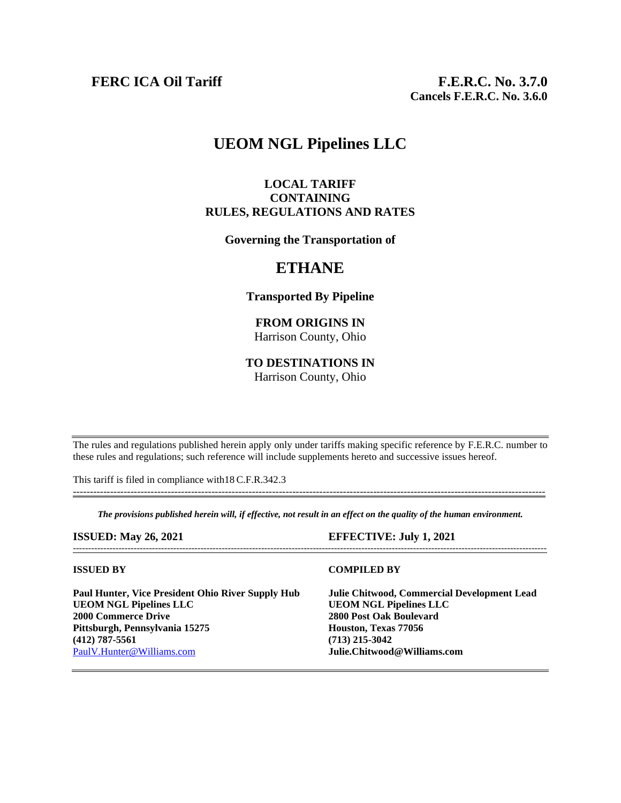# **UEOM NGL Pipelines LLC**

## **LOCAL TARIFF CONTAINING RULES, REGULATIONS AND RATES**

**Governing the Transportation of**

# **ETHANE**

#### **Transported By Pipeline**

### **FROM ORIGINS IN** Harrison County, Ohio

# **TO DESTINATIONS IN**

Harrison County, Ohio

The rules and regulations published herein apply only under tariffs making specific reference by F.E.R.C. number to these rules and regulations; such reference will include supplements hereto and successive issues hereof.

This tariff is filed in compliance with18 C.F.R.342.3

*The provisions published herein will, if effective, not result in an effect on the quality of the human environment.*

--------------------------------------------------------------------------------------------------------------------------------------------

### **ISSUED: May 26, 2021 EFFECTIVE: July 1, 2021**

**Paul Hunter, Vice President Ohio River Supply Hub Julie Chitwood, Commercial Development Lead UEOM NGL Pipelines LLC UEOM NGL Pipelines LLC 2000 Commerce Drive 2800 Post Oak Boulevard Pittsburgh, Pennsylvania 15275 (412) 787-5561 (713) 215-3042** [PaulV.Hunter@Williams.com](mailto:PaulV.Hunter@Williams.com) **Julie.Chitwood@Williams.com**

#### ------------------------------------------------------------------------------------------------------------------------------------------------------------

#### **ISSUED BY COMPILED BY**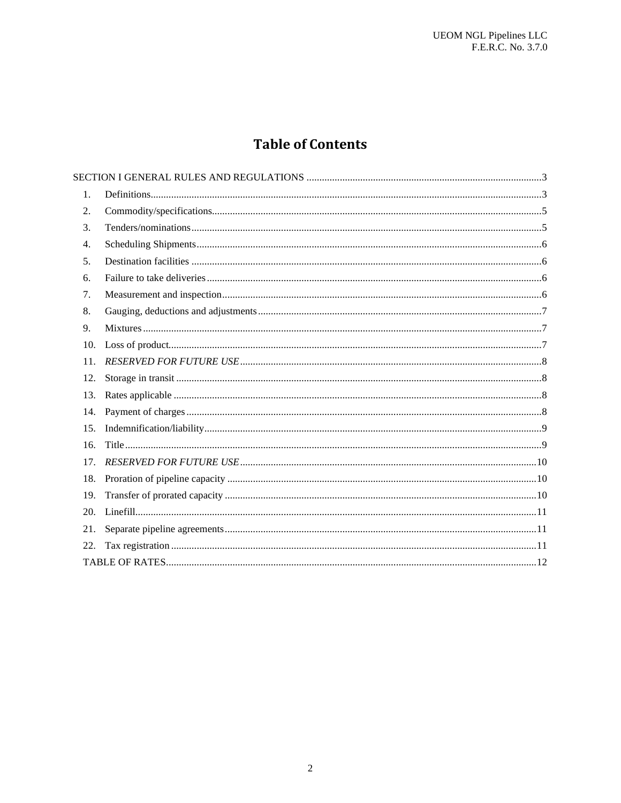# **Table of Contents**

| 1.  |  |
|-----|--|
| 2.  |  |
| 3.  |  |
| 4.  |  |
| 5.  |  |
| 6.  |  |
| 7.  |  |
| 8.  |  |
| 9.  |  |
| 10. |  |
| 11. |  |
| 12. |  |
| 13. |  |
| 14. |  |
| 15. |  |
| 16. |  |
| 17. |  |
| 18. |  |
| 19. |  |
|     |  |
| 21. |  |
| 22. |  |
|     |  |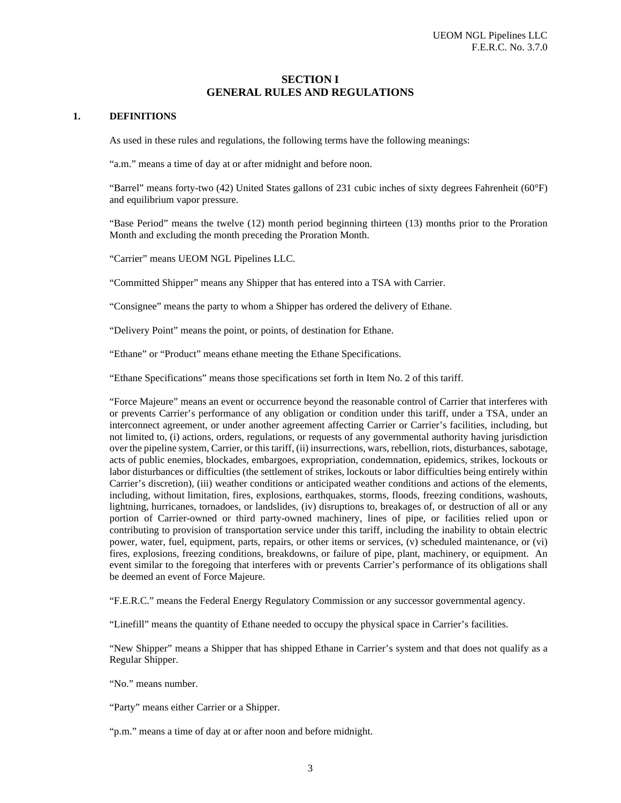#### **SECTION I GENERAL RULES AND REGULATIONS**

#### <span id="page-2-1"></span><span id="page-2-0"></span>**1. DEFINITIONS**

As used in these rules and regulations, the following terms have the following meanings:

"a.m." means a time of day at or after midnight and before noon.

"Barrel" means forty-two (42) United States gallons of 231 cubic inches of sixty degrees Fahrenheit (60°F) and equilibrium vapor pressure.

"Base Period" means the twelve (12) month period beginning thirteen (13) months prior to the Proration Month and excluding the month preceding the Proration Month.

"Carrier" means UEOM NGL Pipelines LLC.

"Committed Shipper" means any Shipper that has entered into a TSA with Carrier.

"Consignee" means the party to whom a Shipper has ordered the delivery of Ethane.

"Delivery Point" means the point, or points, of destination for Ethane.

"Ethane" or "Product" means ethane meeting the Ethane Specifications.

"Ethane Specifications" means those specifications set forth in Item No. [2](#page-4-0) of this tariff.

"Force Majeure" means an event or occurrence beyond the reasonable control of Carrier that interferes with or prevents Carrier's performance of any obligation or condition under this tariff, under a TSA, under an interconnect agreement, or under another agreement affecting Carrier or Carrier's facilities, including, but not limited to, (i) actions, orders, regulations, or requests of any governmental authority having jurisdiction over the pipeline system, Carrier, or this tariff, (ii) insurrections, wars, rebellion, riots, disturbances, sabotage, acts of public enemies, blockades, embargoes, expropriation, condemnation, epidemics, strikes, lockouts or labor disturbances or difficulties (the settlement of strikes, lockouts or labor difficulties being entirely within Carrier's discretion), (iii) weather conditions or anticipated weather conditions and actions of the elements, including, without limitation, fires, explosions, earthquakes, storms, floods, freezing conditions, washouts, lightning, hurricanes, tornadoes, or landslides, (iv) disruptions to, breakages of, or destruction of all or any portion of Carrier-owned or third party-owned machinery, lines of pipe, or facilities relied upon or contributing to provision of transportation service under this tariff, including the inability to obtain electric power, water, fuel, equipment, parts, repairs, or other items or services, (v) scheduled maintenance, or (vi) fires, explosions, freezing conditions, breakdowns, or failure of pipe, plant, machinery, or equipment. An event similar to the foregoing that interferes with or prevents Carrier's performance of its obligations shall be deemed an event of Force Majeure.

"F.E.R.C." means the Federal Energy Regulatory Commission or any successor governmental agency.

"Linefill" means the quantity of Ethane needed to occupy the physical space in Carrier's facilities.

"New Shipper" means a Shipper that has shipped Ethane in Carrier's system and that does not qualify as a Regular Shipper.

"No." means number.

"Party" means either Carrier or a Shipper.

"p.m." means a time of day at or after noon and before midnight.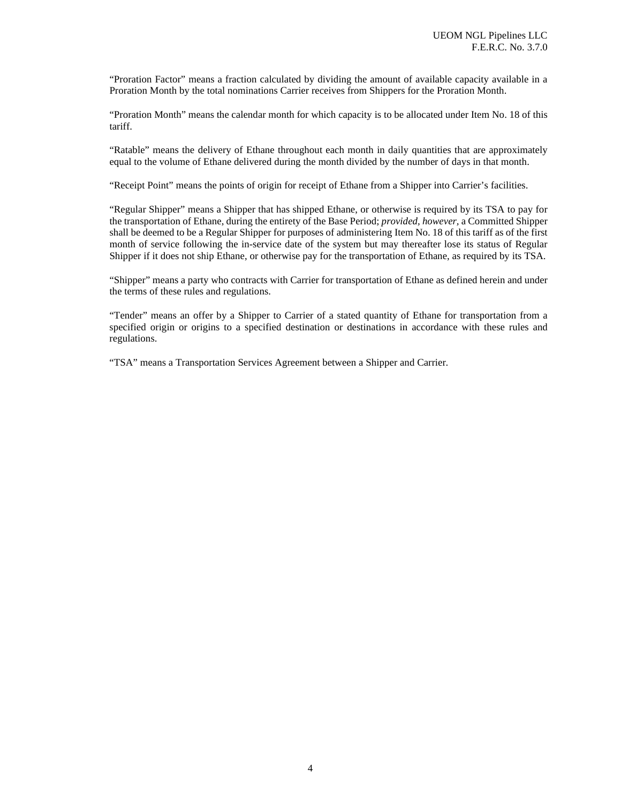"Proration Factor" means a fraction calculated by dividing the amount of available capacity available in a Proration Month by the total nominations Carrier receives from Shippers for the Proration Month.

"Proration Month" means the calendar month for which capacity is to be allocated under Item No. [18](#page-9-1) of this tariff.

"Ratable" means the delivery of Ethane throughout each month in daily quantities that are approximately equal to the volume of Ethane delivered during the month divided by the number of days in that month.

"Receipt Point" means the points of origin for receipt of Ethane from a Shipper into Carrier's facilities.

"Regular Shipper" means a Shipper that has shipped Ethane, or otherwise is required by its TSA to pay for the transportation of Ethane, during the entirety of the Base Period; *provided, however,* a Committed Shipper shall be deemed to be a Regular Shipper for purposes of administering Item No[. 18](#page-9-1) of this tariff as of the first month of service following the in-service date of the system but may thereafter lose its status of Regular Shipper if it does not ship Ethane, or otherwise pay for the transportation of Ethane, as required by its TSA.

"Shipper" means a party who contracts with Carrier for transportation of Ethane as defined herein and under the terms of these rules and regulations.

"Tender" means an offer by a Shipper to Carrier of a stated quantity of Ethane for transportation from a specified origin or origins to a specified destination or destinations in accordance with these rules and regulations.

"TSA" means a Transportation Services Agreement between a Shipper and Carrier.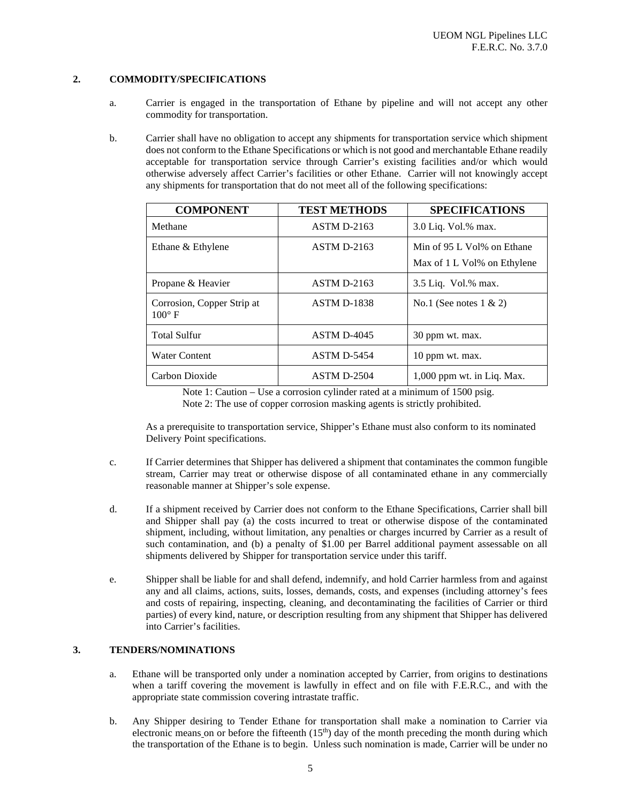#### <span id="page-4-0"></span>**2. COMMODITY/SPECIFICATIONS**

- a. Carrier is engaged in the transportation of Ethane by pipeline and will not accept any other commodity for transportation.
- b. Carrier shall have no obligation to accept any shipments for transportation service which shipment does not conform to the Ethane Specifications or which is not good and merchantable Ethane readily acceptable for transportation service through Carrier's existing facilities and/or which would otherwise adversely affect Carrier's facilities or other Ethane. Carrier will not knowingly accept any shipments for transportation that do not meet all of the following specifications:

| <b>COMPONENT</b>                              | <b>TEST METHODS</b> | <b>SPECIFICATIONS</b>                                     |
|-----------------------------------------------|---------------------|-----------------------------------------------------------|
| Methane                                       | <b>ASTM D-2163</b>  | 3.0 Liq. Vol.% max.                                       |
| Ethane & Ethylene                             | <b>ASTM D-2163</b>  | Min of 95 L Vol% on Ethane<br>Max of 1 L Vol% on Ethylene |
| Propane & Heavier                             | <b>ASTM D-2163</b>  | $3.5$ Liq. Vol.% max.                                     |
| Corrosion, Copper Strip at<br>$100^{\circ}$ F | <b>ASTM D-1838</b>  | No.1 (See notes $1 \& 2$ )                                |
| <b>Total Sulfur</b>                           | <b>ASTM D-4045</b>  | 30 ppm wt. max.                                           |
| <b>Water Content</b>                          | <b>ASTM D-5454</b>  | 10 ppm wt. max.                                           |
| Carbon Dioxide                                | $ASTM D-2504$       | $1,000$ ppm wt. in Liq. Max.                              |

Note 1: Caution – Use a corrosion cylinder rated at a minimum of 1500 psig. Note 2: The use of copper corrosion masking agents is strictly prohibited.

As a prerequisite to transportation service, Shipper's Ethane must also conform to its nominated Delivery Point specifications.

- c. If Carrier determines that Shipper has delivered a shipment that contaminates the common fungible stream, Carrier may treat or otherwise dispose of all contaminated ethane in any commercially reasonable manner at Shipper's sole expense.
- d. If a shipment received by Carrier does not conform to the Ethane Specifications, Carrier shall bill and Shipper shall pay (a) the costs incurred to treat or otherwise dispose of the contaminated shipment, including, without limitation, any penalties or charges incurred by Carrier as a result of such contamination, and (b) a penalty of \$1.00 per Barrel additional payment assessable on all shipments delivered by Shipper for transportation service under this tariff.
- e. Shipper shall be liable for and shall defend, indemnify, and hold Carrier harmless from and against any and all claims, actions, suits, losses, demands, costs, and expenses (including attorney's fees and costs of repairing, inspecting, cleaning, and decontaminating the facilities of Carrier or third parties) of every kind, nature, or description resulting from any shipment that Shipper has delivered into Carrier's facilities.

#### <span id="page-4-1"></span>**3. TENDERS/NOMINATIONS**

- a. Ethane will be transported only under a nomination accepted by Carrier, from origins to destinations when a tariff covering the movement is lawfully in effect and on file with F.E.R.C., and with the appropriate state commission covering intrastate traffic.
- b. Any Shipper desiring to Tender Ethane for transportation shall make a nomination to Carrier via electronic means on or before the fifteenth  $(15<sup>th</sup>)$  day of the month preceding the month during which the transportation of the Ethane is to begin. Unless such nomination is made, Carrier will be under no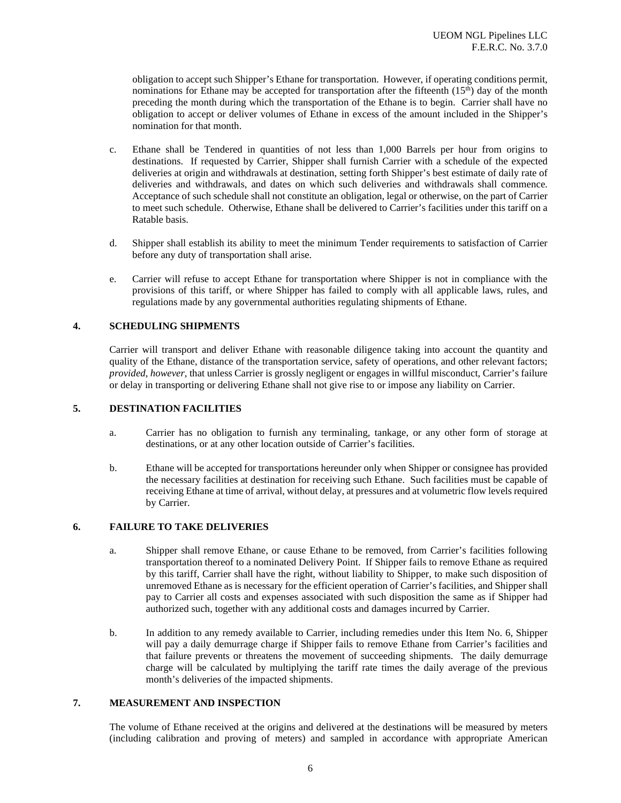obligation to accept such Shipper's Ethane for transportation. However, if operating conditions permit, nominations for Ethane may be accepted for transportation after the fifteenth  $(15<sup>th</sup>)$  day of the month preceding the month during which the transportation of the Ethane is to begin. Carrier shall have no obligation to accept or deliver volumes of Ethane in excess of the amount included in the Shipper's nomination for that month.

- c. Ethane shall be Tendered in quantities of not less than 1,000 Barrels per hour from origins to destinations. If requested by Carrier, Shipper shall furnish Carrier with a schedule of the expected deliveries at origin and withdrawals at destination, setting forth Shipper's best estimate of daily rate of deliveries and withdrawals, and dates on which such deliveries and withdrawals shall commence. Acceptance of such schedule shall not constitute an obligation, legal or otherwise, on the part of Carrier to meet such schedule. Otherwise, Ethane shall be delivered to Carrier's facilities under this tariff on a Ratable basis.
- d. Shipper shall establish its ability to meet the minimum Tender requirements to satisfaction of Carrier before any duty of transportation shall arise.
- e. Carrier will refuse to accept Ethane for transportation where Shipper is not in compliance with the provisions of this tariff, or where Shipper has failed to comply with all applicable laws, rules, and regulations made by any governmental authorities regulating shipments of Ethane.

#### <span id="page-5-0"></span>**4. SCHEDULING SHIPMENTS**

Carrier will transport and deliver Ethane with reasonable diligence taking into account the quantity and quality of the Ethane, distance of the transportation service, safety of operations, and other relevant factors; *provided, however,* that unless Carrier is grossly negligent or engages in willful misconduct, Carrier's failure or delay in transporting or delivering Ethane shall not give rise to or impose any liability on Carrier.

#### <span id="page-5-1"></span>**5. DESTINATION FACILITIES**

- a. Carrier has no obligation to furnish any terminaling, tankage, or any other form of storage at destinations, or at any other location outside of Carrier's facilities.
- b. Ethane will be accepted for transportations hereunder only when Shipper or consignee has provided the necessary facilities at destination for receiving such Ethane. Such facilities must be capable of receiving Ethane at time of arrival, without delay, at pressures and at volumetric flow levels required by Carrier.

#### <span id="page-5-2"></span>**6. FAILURE TO TAKE DELIVERIES**

- a. Shipper shall remove Ethane, or cause Ethane to be removed, from Carrier's facilities following transportation thereof to a nominated Delivery Point. If Shipper fails to remove Ethane as required by this tariff, Carrier shall have the right, without liability to Shipper, to make such disposition of unremoved Ethane as is necessary for the efficient operation of Carrier's facilities, and Shipper shall pay to Carrier all costs and expenses associated with such disposition the same as if Shipper had authorized such, together with any additional costs and damages incurred by Carrier.
- b. In addition to any remedy available to Carrier, including remedies under this Item No. [6,](#page-5-2) Shipper will pay a daily demurrage charge if Shipper fails to remove Ethane from Carrier's facilities and that failure prevents or threatens the movement of succeeding shipments. The daily demurrage charge will be calculated by multiplying the tariff rate times the daily average of the previous month's deliveries of the impacted shipments.

#### <span id="page-5-3"></span>**7. MEASUREMENT AND INSPECTION**

The volume of Ethane received at the origins and delivered at the destinations will be measured by meters (including calibration and proving of meters) and sampled in accordance with appropriate American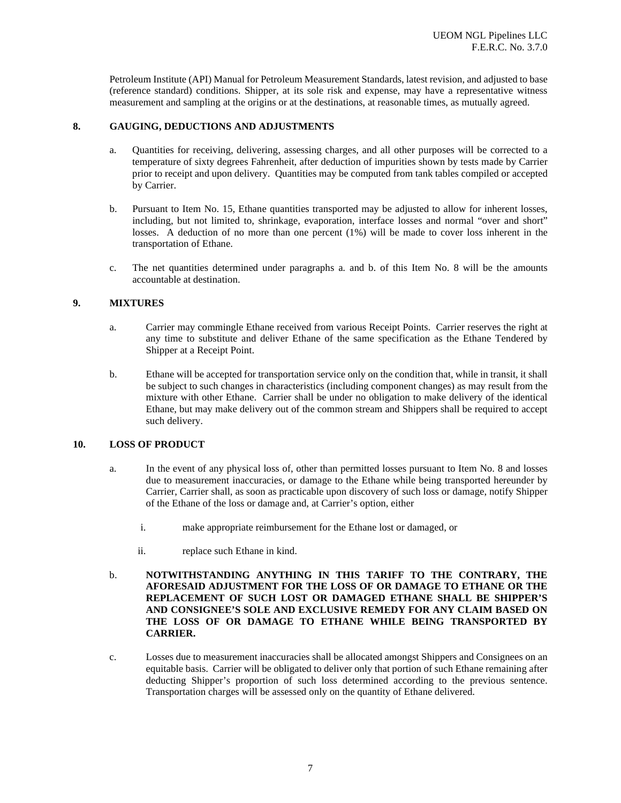Petroleum Institute (API) Manual for Petroleum Measurement Standards, latest revision, and adjusted to base (reference standard) conditions. Shipper, at its sole risk and expense, may have a representative witness measurement and sampling at the origins or at the destinations, at reasonable times, as mutually agreed.

#### <span id="page-6-0"></span>**8. GAUGING, DEDUCTIONS AND ADJUSTMENTS**

- a. Quantities for receiving, delivering, assessing charges, and all other purposes will be corrected to a temperature of sixty degrees Fahrenheit, after deduction of impurities shown by tests made by Carrier prior to receipt and upon delivery. Quantities may be computed from tank tables compiled or accepted by Carrier.
- b. Pursuant to Item No. [15,](#page-8-0) Ethane quantities transported may be adjusted to allow for inherent losses, including, but not limited to, shrinkage, evaporation, interface losses and normal "over and short" losses. A deduction of no more than one percent (1%) will be made to cover loss inherent in the transportation of Ethane.
- c. The net quantities determined under paragraphs a. and b. of this Item No. [8](#page-6-0) will be the amounts accountable at destination.

#### <span id="page-6-1"></span>**9. MIXTURES**

- a. Carrier may commingle Ethane received from various Receipt Points. Carrier reserves the right at any time to substitute and deliver Ethane of the same specification as the Ethane Tendered by Shipper at a Receipt Point.
- b. Ethane will be accepted for transportation service only on the condition that, while in transit, it shall be subject to such changes in characteristics (including component changes) as may result from the mixture with other Ethane. Carrier shall be under no obligation to make delivery of the identical Ethane, but may make delivery out of the common stream and Shippers shall be required to accept such delivery.

#### <span id="page-6-2"></span>**10. LOSS OF PRODUCT**

- a. In the event of any physical loss of, other than permitted losses pursuant to Item No. [8](#page-6-0) and losses due to measurement inaccuracies, or damage to the Ethane while being transported hereunder by Carrier, Carrier shall, as soon as practicable upon discovery of such loss or damage, notify Shipper of the Ethane of the loss or damage and, at Carrier's option, either
	- i. make appropriate reimbursement for the Ethane lost or damaged, or
	- ii. replace such Ethane in kind.
- b. **NOTWITHSTANDING ANYTHING IN THIS TARIFF TO THE CONTRARY, THE AFORESAID ADJUSTMENT FOR THE LOSS OF OR DAMAGE TO ETHANE OR THE REPLACEMENT OF SUCH LOST OR DAMAGED ETHANE SHALL BE SHIPPER'S AND CONSIGNEE'S SOLE AND EXCLUSIVE REMEDY FOR ANY CLAIM BASED ON THE LOSS OF OR DAMAGE TO ETHANE WHILE BEING TRANSPORTED BY CARRIER.**
- c. Losses due to measurement inaccuracies shall be allocated amongst Shippers and Consignees on an equitable basis. Carrier will be obligated to deliver only that portion of such Ethane remaining after deducting Shipper's proportion of such loss determined according to the previous sentence. Transportation charges will be assessed only on the quantity of Ethane delivered.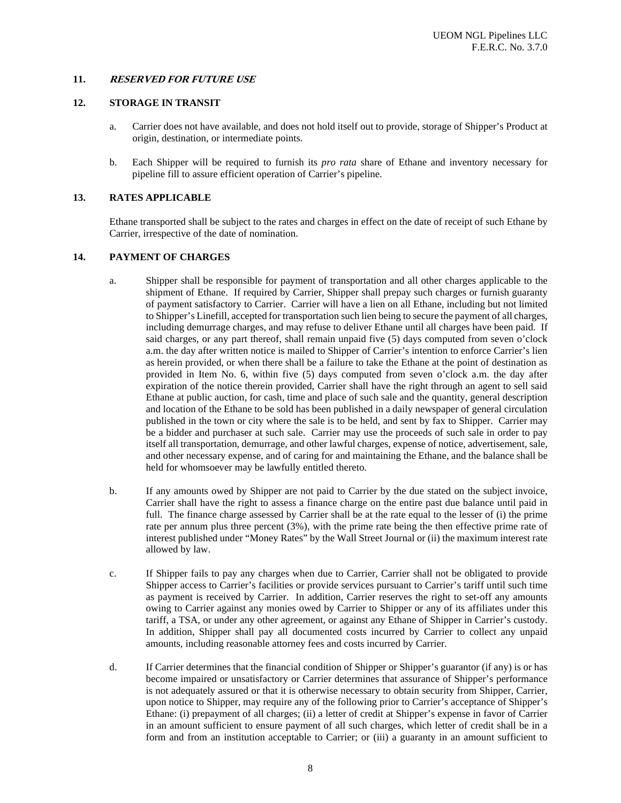#### <span id="page-7-0"></span>**11. RESERVED FOR FUTURE USE**

#### <span id="page-7-1"></span>**12. STORAGE IN TRANSIT**

- a. Carrier does not have available, and does not hold itself out to provide, storage of Shipper's Product at origin, destination, or intermediate points.
- b. Each Shipper will be required to furnish its *pro rata* share of Ethane and inventory necessary for pipeline fill to assure efficient operation of Carrier's pipeline.

#### <span id="page-7-2"></span>**13. RATES APPLICABLE**

Ethane transported shall be subject to the rates and charges in effect on the date of receipt of such Ethane by Carrier, irrespective of the date of nomination.

#### <span id="page-7-3"></span>**14. PAYMENT OF CHARGES**

- a. Shipper shall be responsible for payment of transportation and all other charges applicable to the shipment of Ethane. If required by Carrier, Shipper shall prepay such charges or furnish guaranty of payment satisfactory to Carrier. Carrier will have a lien on all Ethane, including but not limited to Shipper's Linefill, accepted for transportation such lien being to secure the payment of all charges, including demurrage charges, and may refuse to deliver Ethane until all charges have been paid. If said charges, or any part thereof, shall remain unpaid five (5) days computed from seven o'clock a.m. the day after written notice is mailed to Shipper of Carrier's intention to enforce Carrier's lien as herein provided, or when there shall be a failure to take the Ethane at the point of destination as provided in Item No. [6,](#page-5-2) within five (5) days computed from seven o'clock a.m. the day after expiration of the notice therein provided, Carrier shall have the right through an agent to sell said Ethane at public auction, for cash, time and place of such sale and the quantity, general description and location of the Ethane to be sold has been published in a daily newspaper of general circulation published in the town or city where the sale is to be held, and sent by fax to Shipper. Carrier may be a bidder and purchaser at such sale. Carrier may use the proceeds of such sale in order to pay itself all transportation, demurrage, and other lawful charges, expense of notice, advertisement, sale, and other necessary expense, and of caring for and maintaining the Ethane, and the balance shall be held for whomsoever may be lawfully entitled thereto.
- b. If any amounts owed by Shipper are not paid to Carrier by the due stated on the subject invoice, Carrier shall have the right to assess a finance charge on the entire past due balance until paid in full. The finance charge assessed by Carrier shall be at the rate equal to the lesser of (i) the prime rate per annum plus three percent (3%), with the prime rate being the then effective prime rate of interest published under "Money Rates" by the Wall Street Journal or (ii) the maximum interest rate allowed by law.
- c. If Shipper fails to pay any charges when due to Carrier, Carrier shall not be obligated to provide Shipper access to Carrier's facilities or provide services pursuant to Carrier's tariff until such time as payment is received by Carrier. In addition, Carrier reserves the right to set-off any amounts owing to Carrier against any monies owed by Carrier to Shipper or any of its affiliates under this tariff, a TSA, or under any other agreement, or against any Ethane of Shipper in Carrier's custody. In addition, Shipper shall pay all documented costs incurred by Carrier to collect any unpaid amounts, including reasonable attorney fees and costs incurred by Carrier.
- d. If Carrier determines that the financial condition of Shipper or Shipper's guarantor (if any) is or has become impaired or unsatisfactory or Carrier determines that assurance of Shipper's performance is not adequately assured or that it is otherwise necessary to obtain security from Shipper, Carrier, upon notice to Shipper, may require any of the following prior to Carrier's acceptance of Shipper's Ethane: (i) prepayment of all charges; (ii) a letter of credit at Shipper's expense in favor of Carrier in an amount sufficient to ensure payment of all such charges, which letter of credit shall be in a form and from an institution acceptable to Carrier; or (iii) a guaranty in an amount sufficient to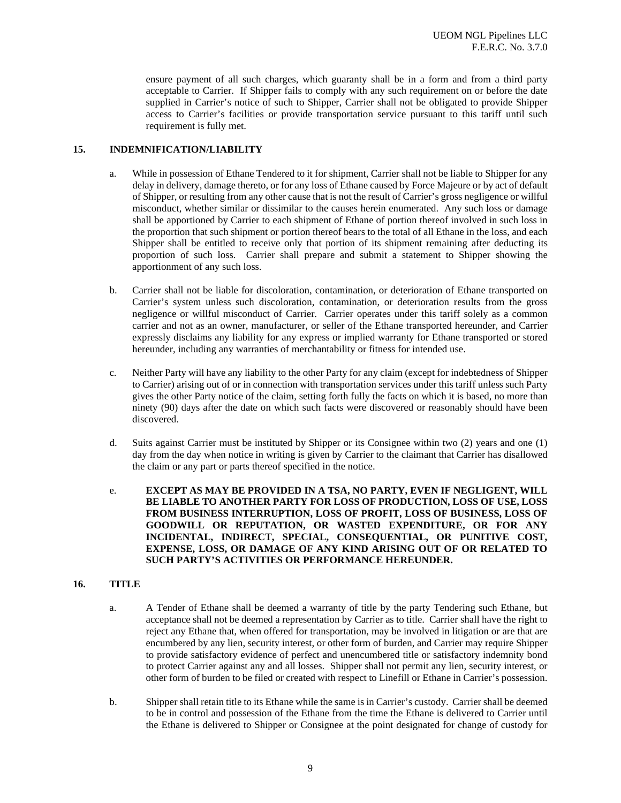ensure payment of all such charges, which guaranty shall be in a form and from a third party acceptable to Carrier. If Shipper fails to comply with any such requirement on or before the date supplied in Carrier's notice of such to Shipper, Carrier shall not be obligated to provide Shipper access to Carrier's facilities or provide transportation service pursuant to this tariff until such requirement is fully met.

#### <span id="page-8-0"></span>**15. INDEMNIFICATION/LIABILITY**

- a. While in possession of Ethane Tendered to it for shipment, Carrier shall not be liable to Shipper for any delay in delivery, damage thereto, or for any loss of Ethane caused by Force Majeure or by act of default of Shipper, or resulting from any other cause that is not the result of Carrier's gross negligence or willful misconduct, whether similar or dissimilar to the causes herein enumerated. Any such loss or damage shall be apportioned by Carrier to each shipment of Ethane of portion thereof involved in such loss in the proportion that such shipment or portion thereof bears to the total of all Ethane in the loss, and each Shipper shall be entitled to receive only that portion of its shipment remaining after deducting its proportion of such loss. Carrier shall prepare and submit a statement to Shipper showing the apportionment of any such loss.
- b. Carrier shall not be liable for discoloration, contamination, or deterioration of Ethane transported on Carrier's system unless such discoloration, contamination, or deterioration results from the gross negligence or willful misconduct of Carrier. Carrier operates under this tariff solely as a common carrier and not as an owner, manufacturer, or seller of the Ethane transported hereunder, and Carrier expressly disclaims any liability for any express or implied warranty for Ethane transported or stored hereunder, including any warranties of merchantability or fitness for intended use.
- c. Neither Party will have any liability to the other Party for any claim (except for indebtedness of Shipper to Carrier) arising out of or in connection with transportation services under this tariff unless such Party gives the other Party notice of the claim, setting forth fully the facts on which it is based, no more than ninety (90) days after the date on which such facts were discovered or reasonably should have been discovered.
- d. Suits against Carrier must be instituted by Shipper or its Consignee within two (2) years and one (1) day from the day when notice in writing is given by Carrier to the claimant that Carrier has disallowed the claim or any part or parts thereof specified in the notice.
- e. **EXCEPT AS MAY BE PROVIDED IN A TSA, NO PARTY, EVEN IF NEGLIGENT, WILL BE LIABLE TO ANOTHER PARTY FOR LOSS OF PRODUCTION, LOSS OF USE, LOSS FROM BUSINESS INTERRUPTION, LOSS OF PROFIT, LOSS OF BUSINESS, LOSS OF GOODWILL OR REPUTATION, OR WASTED EXPENDITURE, OR FOR ANY INCIDENTAL, INDIRECT, SPECIAL, CONSEQUENTIAL, OR PUNITIVE COST, EXPENSE, LOSS, OR DAMAGE OF ANY KIND ARISING OUT OF OR RELATED TO SUCH PARTY'S ACTIVITIES OR PERFORMANCE HEREUNDER.**

#### <span id="page-8-1"></span>**16. TITLE**

- a. A Tender of Ethane shall be deemed a warranty of title by the party Tendering such Ethane, but acceptance shall not be deemed a representation by Carrier as to title. Carrier shall have the right to reject any Ethane that, when offered for transportation, may be involved in litigation or are that are encumbered by any lien, security interest, or other form of burden, and Carrier may require Shipper to provide satisfactory evidence of perfect and unencumbered title or satisfactory indemnity bond to protect Carrier against any and all losses. Shipper shall not permit any lien, security interest, or other form of burden to be filed or created with respect to Linefill or Ethane in Carrier's possession.
- b. Shipper shall retain title to its Ethane while the same is in Carrier's custody. Carrier shall be deemed to be in control and possession of the Ethane from the time the Ethane is delivered to Carrier until the Ethane is delivered to Shipper or Consignee at the point designated for change of custody for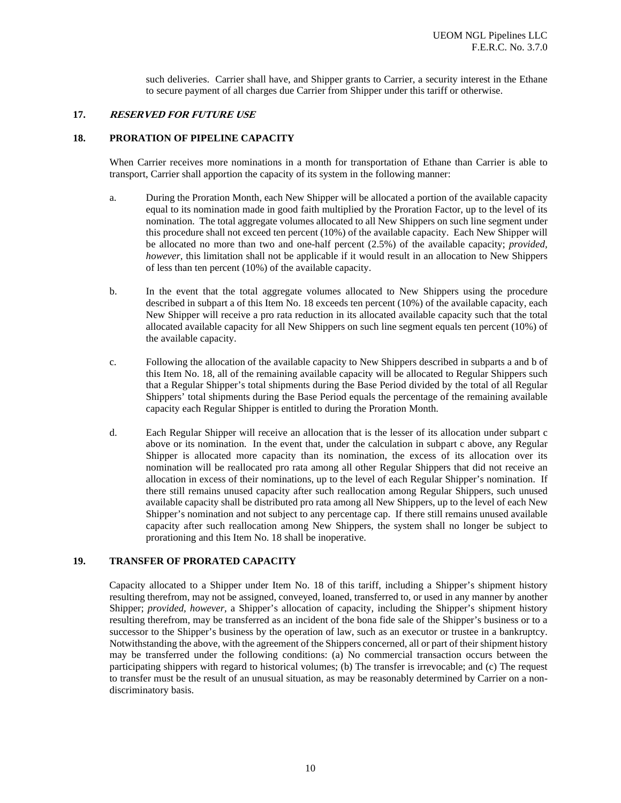such deliveries. Carrier shall have, and Shipper grants to Carrier, a security interest in the Ethane to secure payment of all charges due Carrier from Shipper under this tariff or otherwise.

#### <span id="page-9-0"></span>**17. RESERVED FOR FUTURE USE**

#### <span id="page-9-1"></span>**18. PRORATION OF PIPELINE CAPACITY**

When Carrier receives more nominations in a month for transportation of Ethane than Carrier is able to transport, Carrier shall apportion the capacity of its system in the following manner:

- <span id="page-9-3"></span>a. During the Proration Month, each New Shipper will be allocated a portion of the available capacity equal to its nomination made in good faith multiplied by the Proration Factor, up to the level of its nomination. The total aggregate volumes allocated to all New Shippers on such line segment under this procedure shall not exceed ten percent (10%) of the available capacity. Each New Shipper will be allocated no more than two and one-half percent (2.5%) of the available capacity; *provided, however*, this limitation shall not be applicable if it would result in an allocation to New Shippers of less than ten percent (10%) of the available capacity.
- <span id="page-9-4"></span>b. In the event that the total aggregate volumes allocated to New Shippers using the procedure described in subpart [a](#page-9-3) of this Item No. [18](#page-9-1) exceeds ten percent (10%) of the available capacity, each New Shipper will receive a pro rata reduction in its allocated available capacity such that the total allocated available capacity for all New Shippers on such line segment equals ten percent (10%) of the available capacity.
- <span id="page-9-5"></span>c. Following the allocation of the available capacity to New Shippers described in subparts [a](#page-9-3) and [b](#page-9-4) of this Item No. [18,](#page-9-1) all of the remaining available capacity will be allocated to Regular Shippers such that a Regular Shipper's total shipments during the Base Period divided by the total of all Regular Shippers' total shipments during the Base Period equals the percentage of the remaining available capacity each Regular Shipper is entitled to during the Proration Month.
- d. Each Regular Shipper will receive an allocation that is the lesser of its allocation under subpart [c](#page-9-5) above or its nomination. In the event that, under the calculation in subpart [c](#page-9-5) above, any Regular Shipper is allocated more capacity than its nomination, the excess of its allocation over its nomination will be reallocated pro rata among all other Regular Shippers that did not receive an allocation in excess of their nominations, up to the level of each Regular Shipper's nomination. If there still remains unused capacity after such reallocation among Regular Shippers, such unused available capacity shall be distributed pro rata among all New Shippers, up to the level of each New Shipper's nomination and not subject to any percentage cap. If there still remains unused available capacity after such reallocation among New Shippers, the system shall no longer be subject to prorationing and this Item No. [18](#page-9-1) shall be inoperative.

#### <span id="page-9-2"></span>**19. TRANSFER OF PRORATED CAPACITY**

Capacity allocated to a Shipper under Item No. [18](#page-9-1) of this tariff, including a Shipper's shipment history resulting therefrom, may not be assigned, conveyed, loaned, transferred to, or used in any manner by another Shipper; *provided, however,* a Shipper's allocation of capacity, including the Shipper's shipment history resulting therefrom, may be transferred as an incident of the bona fide sale of the Shipper's business or to a successor to the Shipper's business by the operation of law, such as an executor or trustee in a bankruptcy. Notwithstanding the above, with the agreement of the Shippers concerned, all or part of their shipment history may be transferred under the following conditions: (a) No commercial transaction occurs between the participating shippers with regard to historical volumes; (b) The transfer is irrevocable; and (c) The request to transfer must be the result of an unusual situation, as may be reasonably determined by Carrier on a nondiscriminatory basis.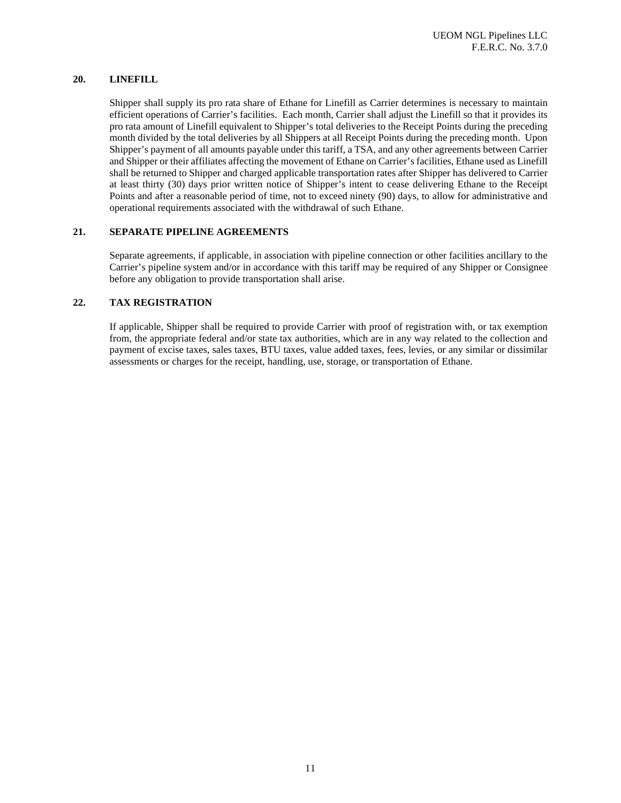#### <span id="page-10-0"></span>**20. LINEFILL**

Shipper shall supply its pro rata share of Ethane for Linefill as Carrier determines is necessary to maintain efficient operations of Carrier's facilities. Each month, Carrier shall adjust the Linefill so that it provides its pro rata amount of Linefill equivalent to Shipper's total deliveries to the Receipt Points during the preceding month divided by the total deliveries by all Shippers at all Receipt Points during the preceding month. Upon Shipper's payment of all amounts payable under this tariff, a TSA, and any other agreements between Carrier and Shipper or their affiliates affecting the movement of Ethane on Carrier's facilities, Ethane used as Linefill shall be returned to Shipper and charged applicable transportation rates after Shipper has delivered to Carrier at least thirty (30) days prior written notice of Shipper's intent to cease delivering Ethane to the Receipt Points and after a reasonable period of time, not to exceed ninety (90) days, to allow for administrative and operational requirements associated with the withdrawal of such Ethane.

#### <span id="page-10-1"></span>**21. SEPARATE PIPELINE AGREEMENTS**

Separate agreements, if applicable, in association with pipeline connection or other facilities ancillary to the Carrier's pipeline system and/or in accordance with this tariff may be required of any Shipper or Consignee before any obligation to provide transportation shall arise.

#### <span id="page-10-2"></span>**22. TAX REGISTRATION**

If applicable, Shipper shall be required to provide Carrier with proof of registration with, or tax exemption from, the appropriate federal and/or state tax authorities, which are in any way related to the collection and payment of excise taxes, sales taxes, BTU taxes, value added taxes, fees, levies, or any similar or dissimilar assessments or charges for the receipt, handling, use, storage, or transportation of Ethane.